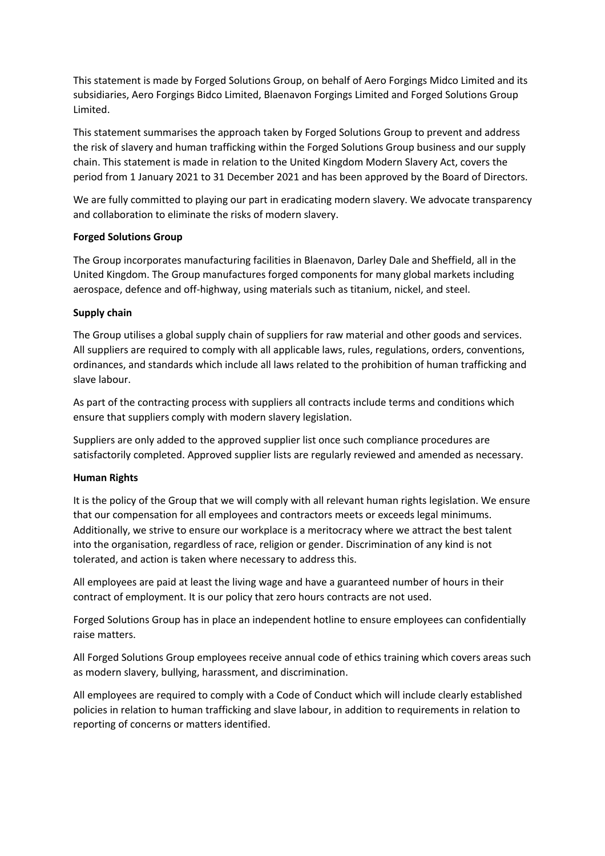This statement is made by Forged Solutions Group, on behalf of Aero Forgings Midco Limited and its subsidiaries, Aero Forgings Bidco Limited, Blaenavon Forgings Limited and Forged Solutions Group Limited.

This statement summarises the approach taken by Forged Solutions Group to prevent and address the risk of slavery and human trafficking within the Forged Solutions Group business and our supply chain. This statement is made in relation to the United Kingdom Modern Slavery Act, covers the period from 1 January 2021 to 31 December 2021 and has been approved by the Board of Directors.

We are fully committed to playing our part in eradicating modern slavery. We advocate transparency and collaboration to eliminate the risks of modern slavery.

## **Forged Solutions Group**

The Group incorporates manufacturing facilities in Blaenavon, Darley Dale and Sheffield, all in the United Kingdom. The Group manufactures forged components for many global markets including aerospace, defence and off-highway, using materials such as titanium, nickel, and steel.

## **Supply chain**

The Group utilises a global supply chain of suppliers for raw material and other goods and services. All suppliers are required to comply with all applicable laws, rules, regulations, orders, conventions, ordinances, and standards which include all laws related to the prohibition of human trafficking and slave labour.

As part of the contracting process with suppliers all contracts include terms and conditions which ensure that suppliers comply with modern slavery legislation.

Suppliers are only added to the approved supplier list once such compliance procedures are satisfactorily completed. Approved supplier lists are regularly reviewed and amended as necessary.

## **Human Rights**

It is the policy of the Group that we will comply with all relevant human rights legislation. We ensure that our compensation for all employees and contractors meets or exceeds legal minimums. Additionally, we strive to ensure our workplace is a meritocracy where we attract the best talent into the organisation, regardless of race, religion or gender. Discrimination of any kind is not tolerated, and action is taken where necessary to address this.

All employees are paid at least the living wage and have a guaranteed number of hours in their contract of employment. It is our policy that zero hours contracts are not used.

Forged Solutions Group has in place an independent hotline to ensure employees can confidentially raise matters.

All Forged Solutions Group employees receive annual code of ethics training which covers areas such as modern slavery, bullying, harassment, and discrimination.

All employees are required to comply with a Code of Conduct which will include clearly established policies in relation to human trafficking and slave labour, in addition to requirements in relation to reporting of concerns or matters identified.